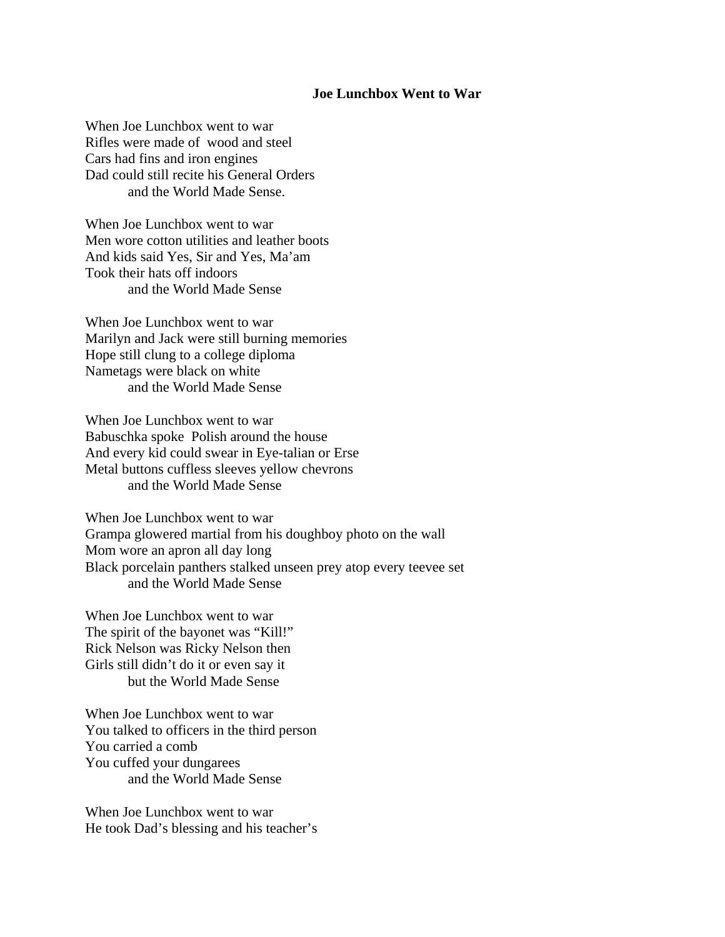## **Joe Lunchbox Went to War**

When Joe Lunchbox went to war Rifles were made of wood and steel Cars had fins and iron engines Dad could still recite his General Orders and the World Made Sense.

When Joe Lunchbox went to war Men wore cotton utilities and leather boots And kids said Yes, Sir and Yes, Ma'am Took their hats off indoors and the World Made Sense

When Joe Lunchbox went to war Marilyn and Jack were still burning memories Hope still clung to a college diploma Nametags were black on white and the World Made Sense

When Joe Lunchbox went to war Babuschka spoke Polish around the house And every kid could swear in Eye-talian or Erse Metal buttons cuffless sleeves yellow chevrons and the World Made Sense

When Joe Lunchbox went to war Grampa glowered martial from his doughboy photo on the wall Mom wore an apron all day long Black porcelain panthers stalked unseen prey atop every teevee set and the World Made Sense

When Joe Lunchbox went to war The spirit of the bayonet was "Kill!" Rick Nelson was Ricky Nelson then Girls still didn't do it or even say it but the World Made Sense

When Joe Lunchbox went to war You talked to officers in the third person You carried a comb You cuffed your dungarees and the World Made Sense

When Joe Lunchbox went to war He took Dad's blessing and his teacher's